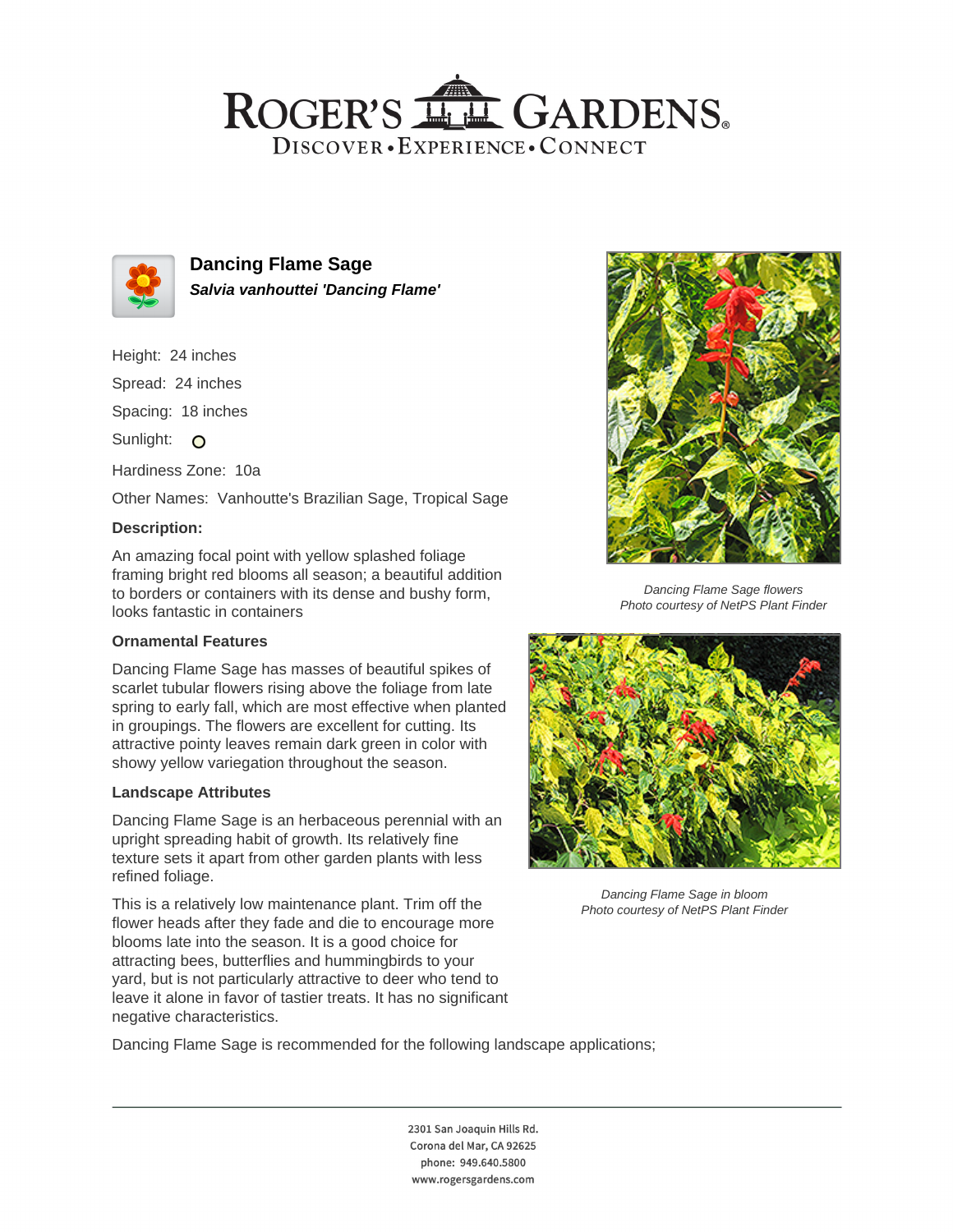# ROGER'S LL GARDENS. DISCOVER · EXPERIENCE · CONNECT



**Dancing Flame Sage Salvia vanhouttei 'Dancing Flame'**

Height: 24 inches

Spread: 24 inches

Spacing: 18 inches

Sunlight: O

Hardiness Zone: 10a

Other Names: Vanhoutte's Brazilian Sage, Tropical Sage

## **Description:**

An amazing focal point with yellow splashed foliage framing bright red blooms all season; a beautiful addition to borders or containers with its dense and bushy form, looks fantastic in containers

#### **Ornamental Features**

Dancing Flame Sage has masses of beautiful spikes of scarlet tubular flowers rising above the foliage from late spring to early fall, which are most effective when planted in groupings. The flowers are excellent for cutting. Its attractive pointy leaves remain dark green in color with showy yellow variegation throughout the season.

#### **Landscape Attributes**

Dancing Flame Sage is an herbaceous perennial with an upright spreading habit of growth. Its relatively fine texture sets it apart from other garden plants with less refined foliage.

This is a relatively low maintenance plant. Trim off the flower heads after they fade and die to encourage more blooms late into the season. It is a good choice for attracting bees, butterflies and hummingbirds to your yard, but is not particularly attractive to deer who tend to leave it alone in favor of tastier treats. It has no significant negative characteristics.



Dancing Flame Sage flowers Photo courtesy of NetPS Plant Finder



Dancing Flame Sage in bloom Photo courtesy of NetPS Plant Finder

Dancing Flame Sage is recommended for the following landscape applications;

2301 San Joaquin Hills Rd. Corona del Mar, CA 92625 phone: 949.640.5800 www.rogersgardens.com